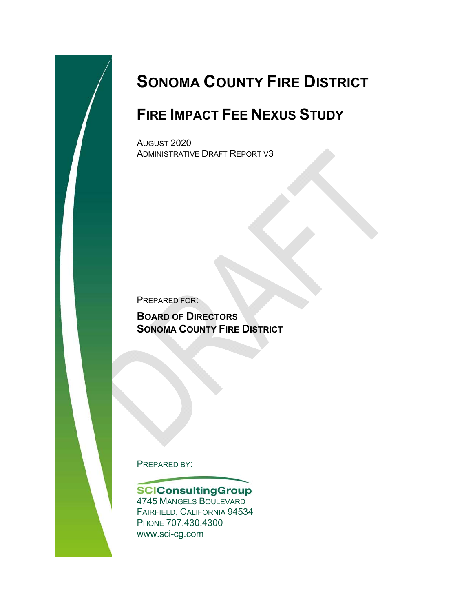

# **SONOMA COUNTY FIRE DISTRICT**

# **FIRE IMPACT FEE NEXUS STUDY**

AUGUST 2020 ADMINISTRATIVE DRAFT REPORT V3

PREPARED FOR:

**BOARD OF DIRECTORS SONOMA COUNTY FIRE DISTRICT** 

PREPARED BY:

**SCIConsultingGroup** 4745 MANGELS BOULEVARD FAIRFIELD, CALIFORNIA 94534 PHONE 707.430.4300 www.sci-cg.com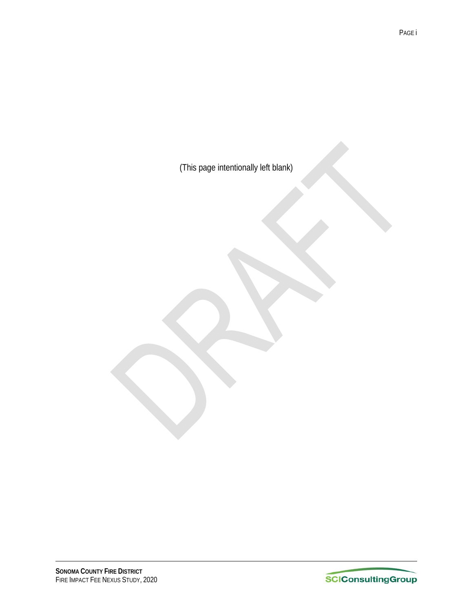(This page intentionally left blank)

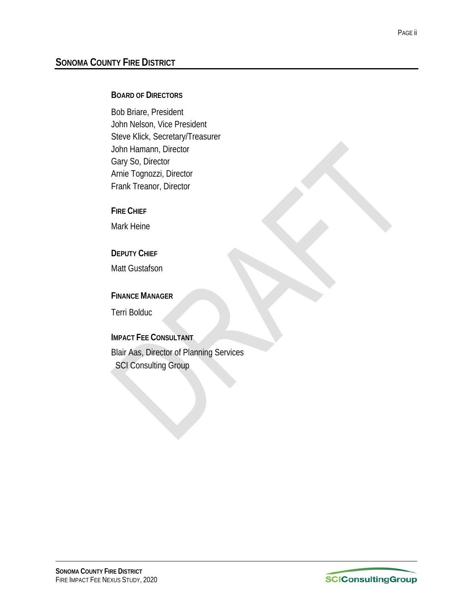#### **SONOMA COUNTY FIRE DISTRICT**

#### **BOARD OF DIRECTORS**

Bob Briare, President John Nelson, Vice President Steve Klick, Secretary/Treasurer John Hamann, Director Gary So, Director Arnie Tognozzi, Director Frank Treanor, Director

**FIRE CHIEF**

Mark Heine

#### **DEPUTY CHIEF**

Matt Gustafson

#### **FINANCE MANAGER**

Terri Bolduc

#### **IMPACT FEE CONSULTANT**

Blair Aas, Director of Planning Services SCI Consulting Group

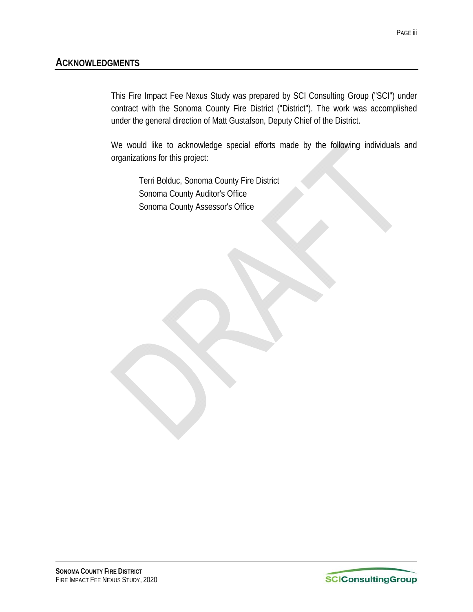### **ACKNOWLEDGMENTS**

This Fire Impact Fee Nexus Study was prepared by SCI Consulting Group ("SCI") under contract with the Sonoma County Fire District ("District"). The work was accomplished under the general direction of Matt Gustafson, Deputy Chief of the District.

We would like to acknowledge special efforts made by the following individuals and organizations for this project:

Terri Bolduc, Sonoma County Fire District Sonoma County Auditor's Office Sonoma County Assessor's Office

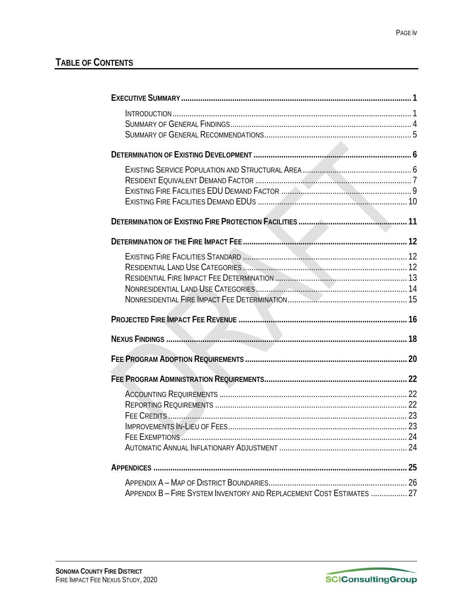# **TABLE OF CONTENTS**

| APPENDIX B - FIRE SYSTEM INVENTORY AND REPLACEMENT COST ESTIMATES  27 |  |
|-----------------------------------------------------------------------|--|

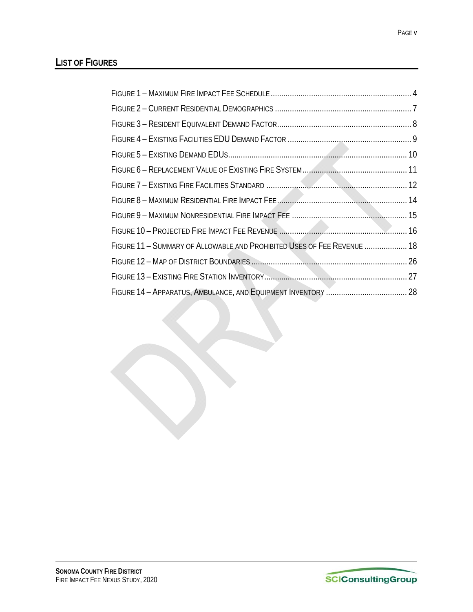# **LIST OF FIGURES**

| FIGURE 11 - SUMMARY OF ALLOWABLE AND PROHIBITED USES OF FEE REVENUE  18 |  |
|-------------------------------------------------------------------------|--|
|                                                                         |  |
|                                                                         |  |
|                                                                         |  |

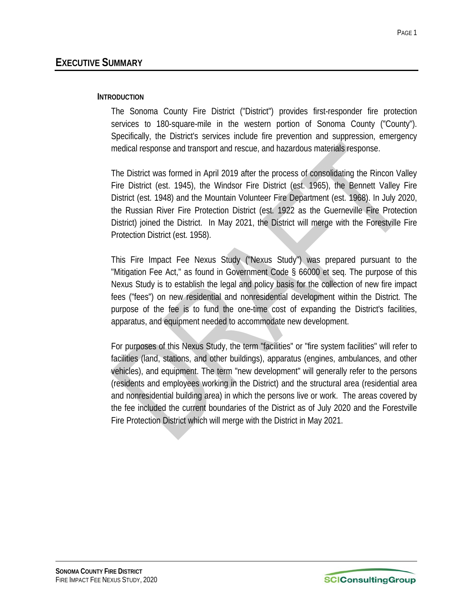# **EXECUTIVE SUMMARY**

#### **INTRODUCTION**

The Sonoma County Fire District ("District") provides first-responder fire protection services to 180-square-mile in the western portion of Sonoma County ("County"). Specifically, the District's services include fire prevention and suppression, emergency medical response and transport and rescue, and hazardous materials response.

The District was formed in April 2019 after the process of consolidating the Rincon Valley Fire District (est. 1945), the Windsor Fire District (est. 1965), the Bennett Valley Fire District (est. 1948) and the Mountain Volunteer Fire Department (est. 1968). In July 2020, the Russian River Fire Protection District (est. 1922 as the Guerneville Fire Protection District) joined the District. In May 2021, the District will merge with the Forestville Fire Protection District (est. 1958).

This Fire Impact Fee Nexus Study ("Nexus Study") was prepared pursuant to the "Mitigation Fee Act," as found in Government Code § 66000 et seq. The purpose of this Nexus Study is to establish the legal and policy basis for the collection of new fire impact fees ("fees") on new residential and nonresidential development within the District. The purpose of the fee is to fund the one-time cost of expanding the District's facilities, apparatus, and equipment needed to accommodate new development.

For purposes of this Nexus Study, the term "facilities" or "fire system facilities" will refer to facilities (land, stations, and other buildings), apparatus (engines, ambulances, and other vehicles), and equipment. The term "new development" will generally refer to the persons (residents and employees working in the District) and the structural area (residential area and nonresidential building area) in which the persons live or work. The areas covered by the fee included the current boundaries of the District as of July 2020 and the Forestville Fire Protection District which will merge with the District in May 2021.

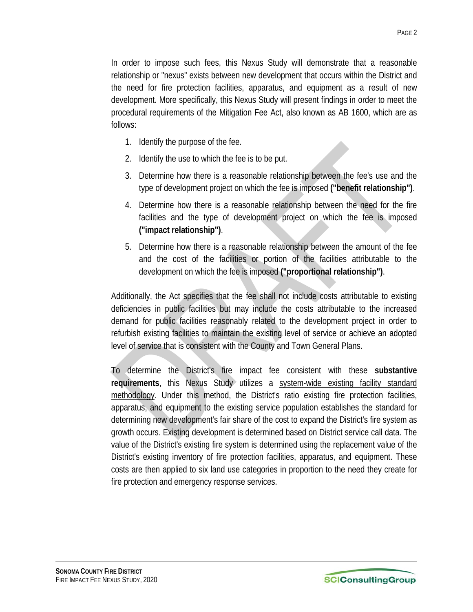In order to impose such fees, this Nexus Study will demonstrate that a reasonable relationship or "nexus" exists between new development that occurs within the District and the need for fire protection facilities, apparatus, and equipment as a result of new development. More specifically, this Nexus Study will present findings in order to meet the procedural requirements of the Mitigation Fee Act, also known as AB 1600, which are as follows:

- 1. Identify the purpose of the fee.
- 2. Identify the use to which the fee is to be put.
- 3. Determine how there is a reasonable relationship between the fee's use and the type of development project on which the fee is imposed **("benefit relationship")**.
- 4. Determine how there is a reasonable relationship between the need for the fire facilities and the type of development project on which the fee is imposed **("impact relationship")**.
- 5. Determine how there is a reasonable relationship between the amount of the fee and the cost of the facilities or portion of the facilities attributable to the development on which the fee is imposed **("proportional relationship")**.

Additionally, the Act specifies that the fee shall not include costs attributable to existing deficiencies in public facilities but may include the costs attributable to the increased demand for public facilities reasonably related to the development project in order to refurbish existing facilities to maintain the existing level of service or achieve an adopted level of service that is consistent with the County and Town General Plans.

To determine the District's fire impact fee consistent with these **substantive requirements**, this Nexus Study utilizes a system-wide existing facility standard methodology. Under this method, the District's ratio existing fire protection facilities, apparatus, and equipment to the existing service population establishes the standard for determining new development's fair share of the cost to expand the District's fire system as growth occurs. Existing development is determined based on District service call data. The value of the District's existing fire system is determined using the replacement value of the District's existing inventory of fire protection facilities, apparatus, and equipment. These costs are then applied to six land use categories in proportion to the need they create for fire protection and emergency response services.

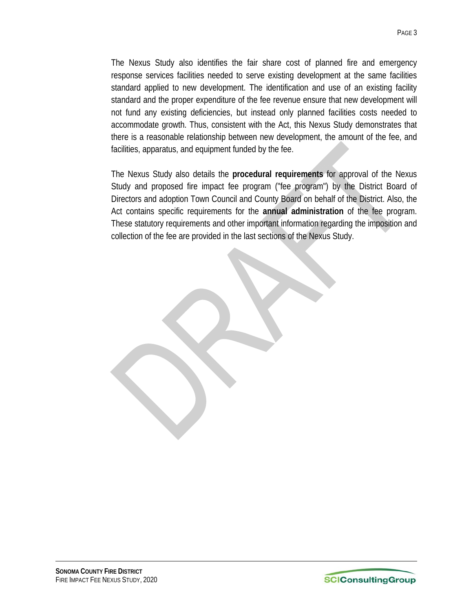The Nexus Study also identifies the fair share cost of planned fire and emergency response services facilities needed to serve existing development at the same facilities standard applied to new development. The identification and use of an existing facility standard and the proper expenditure of the fee revenue ensure that new development will not fund any existing deficiencies, but instead only planned facilities costs needed to accommodate growth. Thus, consistent with the Act, this Nexus Study demonstrates that there is a reasonable relationship between new development, the amount of the fee, and facilities, apparatus, and equipment funded by the fee.

The Nexus Study also details the **procedural requirements** for approval of the Nexus Study and proposed fire impact fee program ("fee program") by the District Board of Directors and adoption Town Council and County Board on behalf of the District. Also, the Act contains specific requirements for the **annual administration** of the fee program. These statutory requirements and other important information regarding the imposition and collection of the fee are provided in the last sections of the Nexus Study.

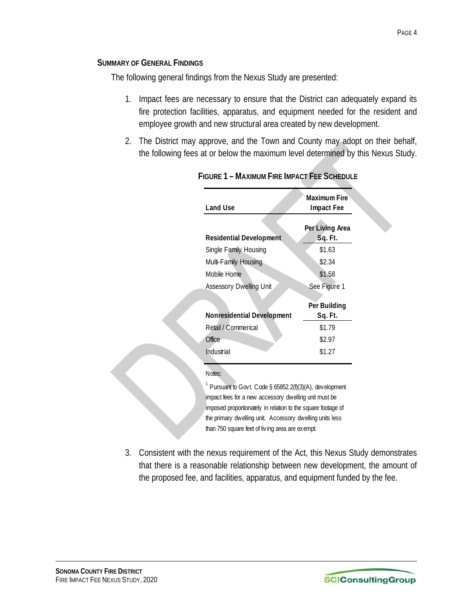#### **SUMMARY OF GENERAL FINDINGS**

The following general findings from the Nexus Study are presented:

- 1. Impact fees are necessary to ensure that the District can adequately expand its fire protection facilities, apparatus, and equipment needed for the resident and employee growth and new structural area created by new development.
- 2. The District may approve, and the Town and County may adopt on their behalf, the following fees at or below the maximum level determined by this Nexus Study.

| <b>Land Use</b>                   | <b>Maximum Fire</b><br>Impact Fee |
|-----------------------------------|-----------------------------------|
| <b>Residential Development</b>    | Per Living Area<br>Sq. Ft.        |
| Single Family Housing             | \$1.63                            |
| Multi-Family Housing              | \$2.34                            |
| Mobile Home                       | \$1.58                            |
| <b>Assessory Dwelling Unit</b>    | See Figure 1                      |
| <b>Nonresidential Development</b> | Per Building<br>Sq. Ft.           |
| Retail / Commerical               | \$1.79                            |
| Office                            | \$2.97                            |
| Industrial                        | \$1.27                            |

#### **FIGURE 1 – MAXIMUM FIRE IMPACT FEE SCHEDULE**

<sup>1</sup> Pursuant to Govt. Code § 65852.2(f)(3)(A), development impact fees for a new accessory dwelling unit must be imposed proportionately in relation to the square footage of the primary dwelling unit. Accessory dwelling units less than 750 square feet of living area are exempt.

3. Consistent with the nexus requirement of the Act, this Nexus Study demonstrates that there is a reasonable relationship between new development, the amount of the proposed fee, and facilities, apparatus, and equipment funded by the fee.

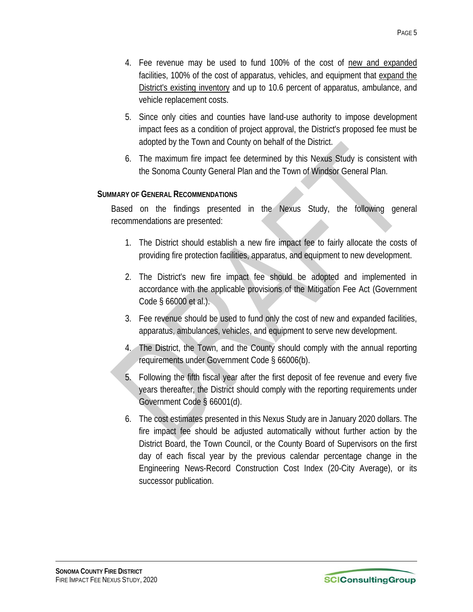- 4. Fee revenue may be used to fund 100% of the cost of new and expanded facilities, 100% of the cost of apparatus, vehicles, and equipment that expand the District's existing inventory and up to 10.6 percent of apparatus, ambulance, and vehicle replacement costs.
- 5. Since only cities and counties have land-use authority to impose development impact fees as a condition of project approval, the District's proposed fee must be adopted by the Town and County on behalf of the District.
- 6. The maximum fire impact fee determined by this Nexus Study is consistent with the Sonoma County General Plan and the Town of Windsor General Plan.

#### **SUMMARY OF GENERAL RECOMMENDATIONS**

Based on the findings presented in the Nexus Study, the following general recommendations are presented:

- 1. The District should establish a new fire impact fee to fairly allocate the costs of providing fire protection facilities, apparatus, and equipment to new development.
- 2. The District's new fire impact fee should be adopted and implemented in accordance with the applicable provisions of the Mitigation Fee Act (Government Code § 66000 et al.).
- 3. Fee revenue should be used to fund only the cost of new and expanded facilities, apparatus, ambulances, vehicles, and equipment to serve new development.
- 4. The District, the Town, and the County should comply with the annual reporting requirements under Government Code § 66006(b).
- 5. Following the fifth fiscal year after the first deposit of fee revenue and every five years thereafter, the District should comply with the reporting requirements under Government Code § 66001(d).
- 6. The cost estimates presented in this Nexus Study are in January 2020 dollars. The fire impact fee should be adjusted automatically without further action by the District Board, the Town Council, or the County Board of Supervisors on the first day of each fiscal year by the previous calendar percentage change in the Engineering News-Record Construction Cost Index (20-City Average), or its successor publication.

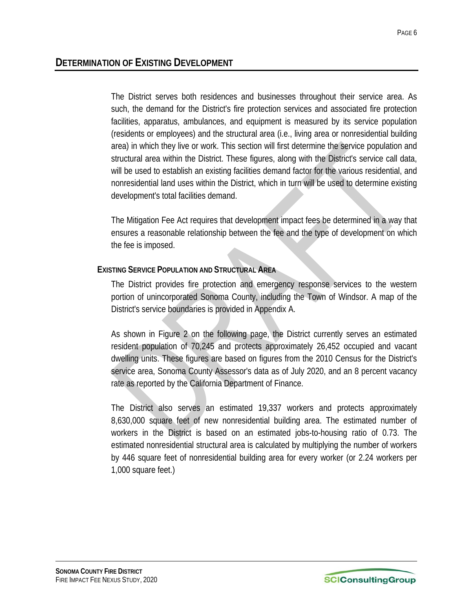# **DETERMINATION OF EXISTING DEVELOPMENT**

The District serves both residences and businesses throughout their service area. As such, the demand for the District's fire protection services and associated fire protection facilities, apparatus, ambulances, and equipment is measured by its service population (residents or employees) and the structural area (i.e., living area or nonresidential building area) in which they live or work. This section will first determine the service population and structural area within the District. These figures, along with the District's service call data, will be used to establish an existing facilities demand factor for the various residential, and nonresidential land uses within the District, which in turn will be used to determine existing development's total facilities demand.

The Mitigation Fee Act requires that development impact fees be determined in a way that ensures a reasonable relationship between the fee and the type of development on which the fee is imposed.

#### **EXISTING SERVICE POPULATION AND STRUCTURAL AREA**

The District provides fire protection and emergency response services to the western portion of unincorporated Sonoma County, including the Town of Windsor. A map of the District's service boundaries is provided in Appendix A.

As shown in Figure 2 on the following page, the District currently serves an estimated resident population of 70,245 and protects approximately 26,452 occupied and vacant dwelling units. These figures are based on figures from the 2010 Census for the District's service area, Sonoma County Assessor's data as of July 2020, and an 8 percent vacancy rate as reported by the California Department of Finance.

The District also serves an estimated 19,337 workers and protects approximately 8,630,000 square feet of new nonresidential building area. The estimated number of workers in the District is based on an estimated jobs-to-housing ratio of 0.73. The estimated nonresidential structural area is calculated by multiplying the number of workers by 446 square feet of nonresidential building area for every worker (or 2.24 workers per 1,000 square feet.)

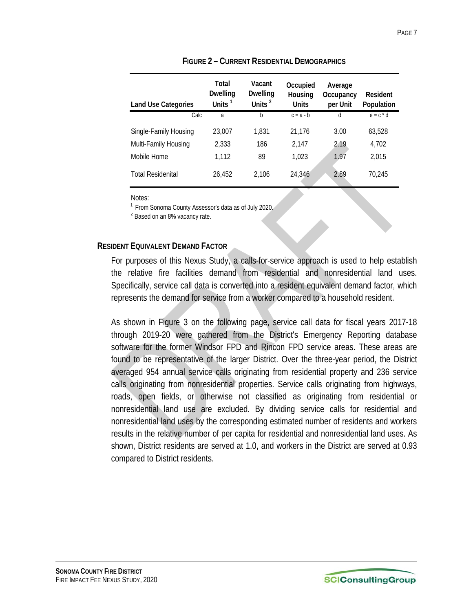| <b>Land Use Categories</b><br>Calc | Total<br><b>Dwelling</b><br>Units $1$<br>a | Vacant<br>Dwelling<br>Units <sup>2</sup><br>$\mathsf{h}$ | Occupied<br>Housing<br><b>Units</b><br>$c = a - b$ | Average<br>Occupancy<br>per Unit<br>d | Resident<br>Population<br>$e = c * d$ |
|------------------------------------|--------------------------------------------|----------------------------------------------------------|----------------------------------------------------|---------------------------------------|---------------------------------------|
| Single-Family Housing              | 23.007                                     | 1.831                                                    | 21.176                                             | 3.00                                  | 63.528                                |
| Multi-Family Housing               | 2,333                                      | 186                                                      | 2.147                                              | 2.19                                  | 4,702                                 |
| Mobile Home                        | 1.112                                      | 89                                                       | 1.023                                              | 1.97                                  | 2.015                                 |
| <b>Total Residenital</b>           | 26,452                                     | 2.106                                                    | 24.346                                             | 2.89                                  | 70.245                                |

| <b>FIGURE 2 - CURRENT RESIDENTIAL DEMOGRAPHICS</b> |  |
|----------------------------------------------------|--|
|----------------------------------------------------|--|

Notes:

<sup>1</sup> From Sonoma County Assessor's data as of July 2020.

<sup>2</sup> Based on an 8% vacancy rate.

#### **RESIDENT EQUIVALENT DEMAND FACTOR**

For purposes of this Nexus Study, a calls-for-service approach is used to help establish the relative fire facilities demand from residential and nonresidential land uses. Specifically, service call data is converted into a resident equivalent demand factor, which represents the demand for service from a worker compared to a household resident.

As shown in Figure 3 on the following page, service call data for fiscal years 2017-18 through 2019-20 were gathered from the District's Emergency Reporting database software for the former Windsor FPD and Rincon FPD service areas. These areas are found to be representative of the larger District. Over the three-year period, the District averaged 954 annual service calls originating from residential property and 236 service calls originating from nonresidential properties. Service calls originating from highways, roads, open fields, or otherwise not classified as originating from residential or nonresidential land use are excluded. By dividing service calls for residential and nonresidential land uses by the corresponding estimated number of residents and workers results in the relative number of per capita for residential and nonresidential land uses. As shown, District residents are served at 1.0, and workers in the District are served at 0.93 compared to District residents.

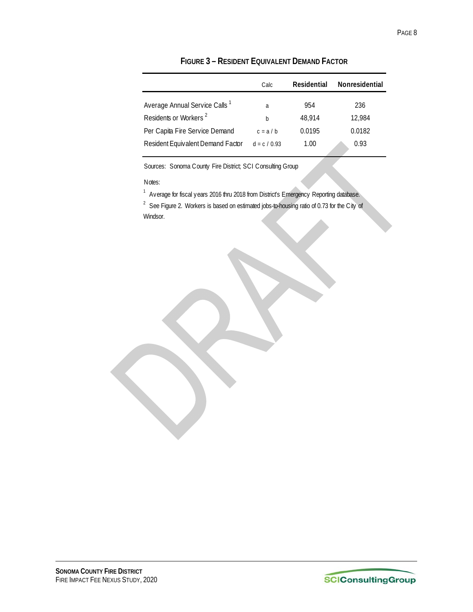|                                           | Calc           | Residential | Nonresidential |
|-------------------------------------------|----------------|-------------|----------------|
| Average Annual Service Calls <sup>1</sup> | a              | 954         | 236            |
| Residents or Workers <sup>2</sup>         | b              | 48.914      | 12,984         |
| Per Capita Fire Service Demand            | $c = a/b$      | 0.0195      | 0.0182         |
| Resident Equivalent Demand Factor         | $d = c / 0.93$ | 1.00        | 0.93           |

#### **FIGURE 3 – RESIDENT EQUIVALENT DEMAND FACTOR**

Sources: Sonoma County Fire District; SCI Consulting Group

Notes:

<sup>1</sup> Average for fiscal years 2016 thru 2018 from District's Emergency Reporting database.

<sup>2</sup> See Figure 2. Workers is based on estimated jobs-to-housing ratio of 0.73 for the City of Windsor.

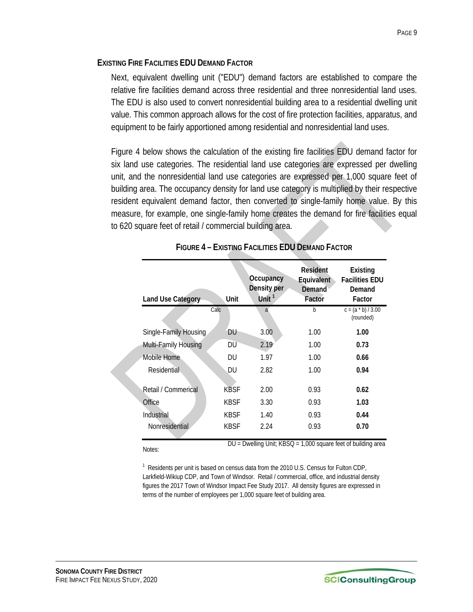#### **EXISTING FIRE FACILITIES EDU DEMAND FACTOR**

Next, equivalent dwelling unit ("EDU") demand factors are established to compare the relative fire facilities demand across three residential and three nonresidential land uses. The EDU is also used to convert nonresidential building area to a residential dwelling unit value. This common approach allows for the cost of fire protection facilities, apparatus, and equipment to be fairly apportioned among residential and nonresidential land uses.

Figure 4 below shows the calculation of the existing fire facilities EDU demand factor for six land use categories. The residential land use categories are expressed per dwelling unit, and the nonresidential land use categories are expressed per 1,000 square feet of building area. The occupancy density for land use category is multiplied by their respective resident equivalent demand factor, then converted to single-family home value. By this measure, for example, one single-family home creates the demand for fire facilities equal to 620 square feet of retail / commercial building area.

| <b>Land Use Category</b> | Unit        | Occupancy<br>Density per<br>Unit $1$ | <b>Resident</b><br>Equivalent<br>Demand<br>Factor | Existing<br><b>Facilities EDU</b><br>Demand<br>Factor |
|--------------------------|-------------|--------------------------------------|---------------------------------------------------|-------------------------------------------------------|
|                          | Calc        | a                                    | b                                                 | $c = (a * b) / 3.00$<br>(rounded)                     |
| Single-Family Housing    | DU          | 3.00                                 | 1.00                                              | 1.00                                                  |
| Multi-Family Housing     | DU          | 2.19                                 | 1.00                                              | 0.73                                                  |
| Mobile Home              | DU          | 1.97                                 | 1.00                                              | 0.66                                                  |
| <b>Residential</b>       | DU          | 2.82                                 | 1.00                                              | 0.94                                                  |
| Retail / Commerical      | <b>KBSF</b> | 2.00                                 | 0.93                                              | 0.62                                                  |
| Office                   | <b>KBSF</b> | 3.30                                 | 0.93                                              | 1.03                                                  |
| Industrial               | <b>KBSF</b> | 1.40                                 | 0.93                                              | 0.44                                                  |
| Nonresidential           | <b>KBSF</b> | 2.24                                 | 0.93                                              | 0.70                                                  |

#### **FIGURE 4 – EXISTING FACILITIES EDU DEMAND FACTOR**

Notes: DU = Dwelling Unit; KBSQ = 1,000 square feet of building area

<sup>1</sup> Residents per unit is based on census data from the 2010 U.S. Census for Fulton CDP, Larkfield-Wikiup CDP, and Town of Windsor. Retail / commercial, office, and industrial density figures the 2017 Town of Windsor Impact Fee Study 2017. All density figures are expressed in terms of the number of employees per 1,000 square feet of building area.

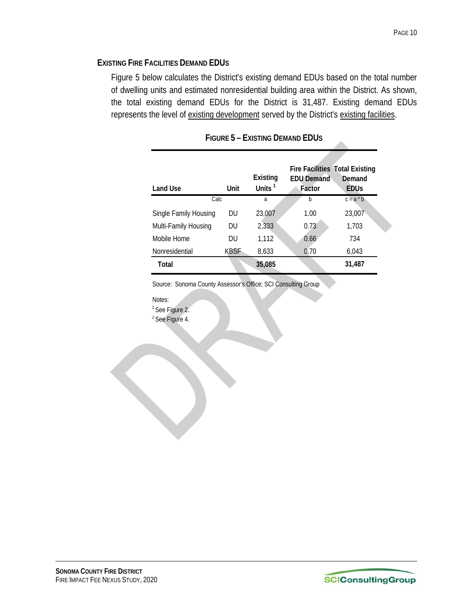#### **EXISTING FIRE FACILITIES DEMAND EDUS**

Figure 5 below calculates the District's existing demand EDUs based on the total number of dwelling units and estimated nonresidential building area within the District. As shown, the total existing demand EDUs for the District is 31,487. Existing demand EDUs represents the level of existing development served by the District's existing facilities.

| <b>Land Use</b><br>Calc | Unit        | Existing<br>Units $1$<br>a | <b>Fire Facilities Total Existing</b><br><b>EDU Demand</b><br>Factor<br>b | Demand<br><b>EDU<sub>s</sub></b><br>$c = a * b$ |
|-------------------------|-------------|----------------------------|---------------------------------------------------------------------------|-------------------------------------------------|
| Single Family Housing   | DU          | 23,007                     | 1.00                                                                      | 23,007                                          |
| Multi-Family Housing    | DU          | 2,333                      | 0.73                                                                      | 1,703                                           |
| Mobile Home             | DU          | 1,112                      | 0.66                                                                      | 734                                             |
| Nonresidential          | <b>KBSF</b> | 8,633                      | 0.70                                                                      | 6,043                                           |
| Total                   |             | 35,085                     |                                                                           | 31,487                                          |

| <b>FIGURE 5 - EXISTING DEMAND EDUS</b> |
|----------------------------------------|
|----------------------------------------|

 $\mathcal{L}$ 

Source: Sonoma County Assessor's Office; SCI Consulting Group

Notes:

<sup>1</sup> See Figure 2.

2 See Figure 4.

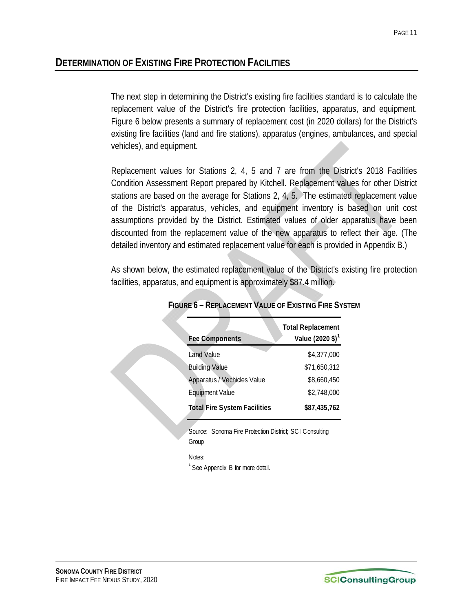# **DETERMINATION OF EXISTING FIRE PROTECTION FACILITIES**

The next step in determining the District's existing fire facilities standard is to calculate the replacement value of the District's fire protection facilities, apparatus, and equipment. Figure 6 below presents a summary of replacement cost (in 2020 dollars) for the District's existing fire facilities (land and fire stations), apparatus (engines, ambulances, and special vehicles), and equipment.

Replacement values for Stations 2, 4, 5 and 7 are from the District's 2018 Facilities Condition Assessment Report prepared by Kitchell. Replacement values for other District stations are based on the average for Stations 2, 4, 5. The estimated replacement value of the District's apparatus, vehicles, and equipment inventory is based on unit cost assumptions provided by the District. Estimated values of older apparatus have been discounted from the replacement value of the new apparatus to reflect their age. (The detailed inventory and estimated replacement value for each is provided in Appendix B.)

As shown below, the estimated replacement value of the District's existing fire protection facilities, apparatus, and equipment is approximately \$87.4 million.

| <b>Fee Components</b>                                            | <b>Total Replacement</b><br>Value (2020 \$) <sup>1</sup> |
|------------------------------------------------------------------|----------------------------------------------------------|
| <b>Land Value</b>                                                | \$4,377,000                                              |
| <b>Building Value</b>                                            | \$71,650,312                                             |
| Apparatus / Vechicles Value                                      | \$8,660,450                                              |
| <b>Equipment Value</b>                                           | \$2,748,000                                              |
| <b>Total Fire System Facilities</b>                              | \$87,435,762                                             |
| Source: Sonoma Fire Protection District: SCI Consulting<br>Group |                                                          |
|                                                                  |                                                          |

### **FIGURE 6 – REPLACEMENT VALUE OF EXISTING FIRE SYSTEM**

Notes<sup>:</sup>

<sup>1</sup> See Appendix B for more detail.

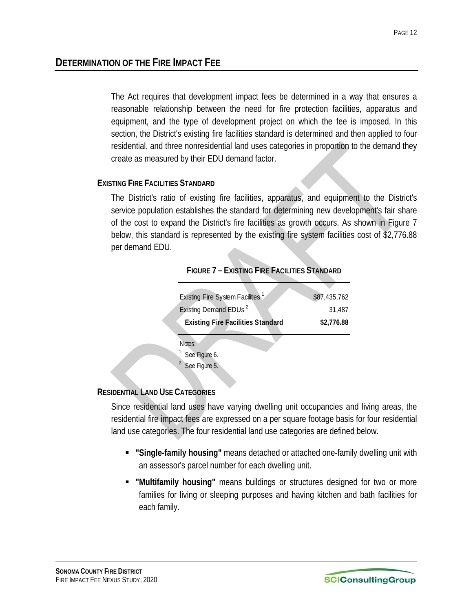# **DETERMINATION OF THE FIRE IMPACT FEE**

The Act requires that development impact fees be determined in a way that ensures a reasonable relationship between the need for fire protection facilities, apparatus and equipment, and the type of development project on which the fee is imposed. In this section, the District's existing fire facilities standard is determined and then applied to four residential, and three nonresidential land uses categories in proportion to the demand they create as measured by their EDU demand factor.

#### **EXISTING FIRE FACILITIES STANDARD**

The District's ratio of existing fire facilities, apparatus, and equipment to the District's service population establishes the standard for determining new development's fair share of the cost to expand the District's fire facilities as growth occurs. As shown in Figure 7 below, this standard is represented by the existing fire system facilities cost of \$2,776.88 per demand EDU.

#### **FIGURE 7 – EXISTING FIRE FACILITIES STANDARD**

| Existing Fire System Facilities <sup>1</sup> | \$87,435,762 |
|----------------------------------------------|--------------|
| Existing Demand EDUs <sup>2</sup>            | 31,487       |
| <b>Existing Fire Facilities Standard</b>     | \$2,776.88   |
| Notes:<br>See Figure 6.<br>See Figure 5.     |              |

#### **RESIDENTIAL LAND USE CATEGORIES**

Since residential land uses have varying dwelling unit occupancies and living areas, the residential fire impact fees are expressed on a per square footage basis for four residential land use categories. The four residential land use categories are defined below.

- **"Single-family housing"** means detached or attached one-family dwelling unit with an assessor's parcel number for each dwelling unit.
- **"Multifamily housing"** means buildings or structures designed for two or more families for living or sleeping purposes and having kitchen and bath facilities for each family.

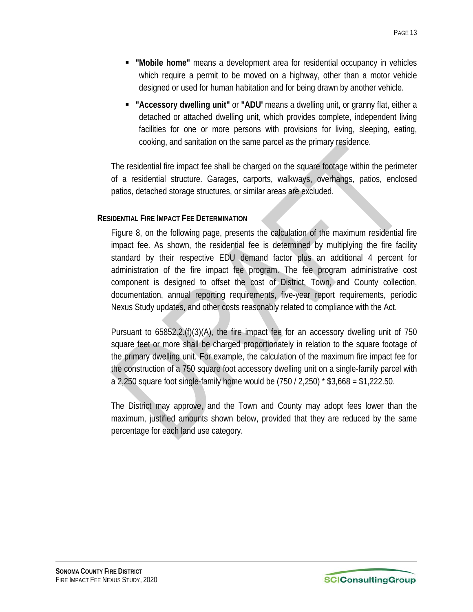- **"Mobile home"** means a development area for residential occupancy in vehicles which require a permit to be moved on a highway, other than a motor vehicle designed or used for human habitation and for being drawn by another vehicle.
- **"Accessory dwelling unit"** or **"ADU'** means a dwelling unit, or granny flat, either a detached or attached dwelling unit, which provides complete, independent living facilities for one or more persons with provisions for living, sleeping, eating, cooking, and sanitation on the same parcel as the primary residence.

The residential fire impact fee shall be charged on the square footage within the perimeter of a residential structure. Garages, carports, walkways, overhangs, patios, enclosed patios, detached storage structures, or similar areas are excluded.

#### **RESIDENTIAL FIRE IMPACT FEE DETERMINATION**

Figure 8, on the following page, presents the calculation of the maximum residential fire impact fee. As shown, the residential fee is determined by multiplying the fire facility standard by their respective EDU demand factor plus an additional 4 percent for administration of the fire impact fee program. The fee program administrative cost component is designed to offset the cost of District, Town, and County collection, documentation, annual reporting requirements, five-year report requirements, periodic Nexus Study updates, and other costs reasonably related to compliance with the Act.

Pursuant to  $65852.2(f)(3)(A)$ , the fire impact fee for an accessory dwelling unit of 750 square feet or more shall be charged proportionately in relation to the square footage of the primary dwelling unit. For example, the calculation of the maximum fire impact fee for the construction of a 750 square foot accessory dwelling unit on a single-family parcel with a 2,250 square foot single-family home would be (750 / 2,250) \* \$3,668 = \$1,222.50.

The District may approve, and the Town and County may adopt fees lower than the maximum, justified amounts shown below, provided that they are reduced by the same percentage for each land use category.

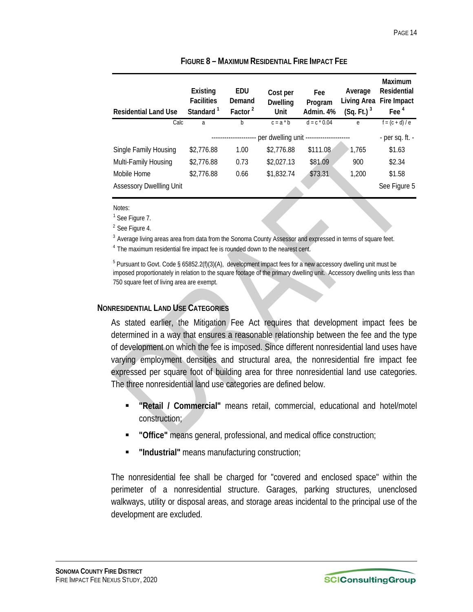| <b>Residential Land Use</b>     | Existing<br><b>Facilities</b><br>Standard <sup>1</sup> | EDU<br>Demand<br>Factor <sup>2</sup> | Cost per<br><b>Dwelling</b><br>Unit | Fee<br>Program<br>Admin. 4% | Average<br>(Sq. Ft.) <sup>3</sup> | Maximum<br>Residential<br>Living Area Fire Impact<br>Fee $4$ |
|---------------------------------|--------------------------------------------------------|--------------------------------------|-------------------------------------|-----------------------------|-----------------------------------|--------------------------------------------------------------|
| Calc                            | a                                                      | $\mathsf{h}$                         | $c = a * b$                         | $d = c * 0.04$              | e                                 | $f = (c + d)/e$                                              |
|                                 |                                                        |                                      | per dwelling unit ----------------  |                             |                                   | - per sq. ft. -                                              |
| Single Family Housing           | \$2,776.88                                             | 1.00                                 | \$2,776.88                          | \$111.08                    | 1.765                             | \$1.63                                                       |
| Multi-Family Housing            | \$2,776.88                                             | 0.73                                 | \$2,027.13                          | \$81.09                     | 900                               | \$2.34                                                       |
| Mobile Home                     | \$2,776.88                                             | 0.66                                 | \$1,832.74                          | \$73.31                     | 1,200                             | \$1.58                                                       |
| <b>Assessory Dwellling Unit</b> |                                                        |                                      |                                     |                             |                                   | See Figure 5                                                 |

**FIGURE 8 – MAXIMUM RESIDENTIAL FIRE IMPACT FEE**

Notes:

<sup>1</sup> See Figure 7.

2 See Figure 4.

<sup>3</sup> Average living areas area from data from the Sonoma County Assessor and expressed in terms of square feet.

<sup>4</sup> The maximum residential fire impact fee is rounded down to the nearest cent.

<sup>5</sup> Pursuant to Govt. Code § 65852.2(f)(3)(A), development impact fees for a new accessory dwelling unit must be imposed proportionately in relation to the square footage of the primary dwelling unit. Accessory dwelling units less than 750 square feet of living area are exempt.

#### **NONRESIDENTIAL LAND USE CATEGORIES**

As stated earlier, the Mitigation Fee Act requires that development impact fees be determined in a way that ensures a reasonable relationship between the fee and the type of development on which the fee is imposed. Since different nonresidential land uses have varying employment densities and structural area, the nonresidential fire impact fee expressed per square foot of building area for three nonresidential land use categories. The three nonresidential land use categories are defined below.

- **"Retail / Commercial"** means retail, commercial, educational and hotel/motel construction;
- **"Office"** means general, professional, and medical office construction;
- **"Industrial"** means manufacturing construction;

The nonresidential fee shall be charged for "covered and enclosed space" within the perimeter of a nonresidential structure. Garages, parking structures, unenclosed walkways, utility or disposal areas, and storage areas incidental to the principal use of the development are excluded.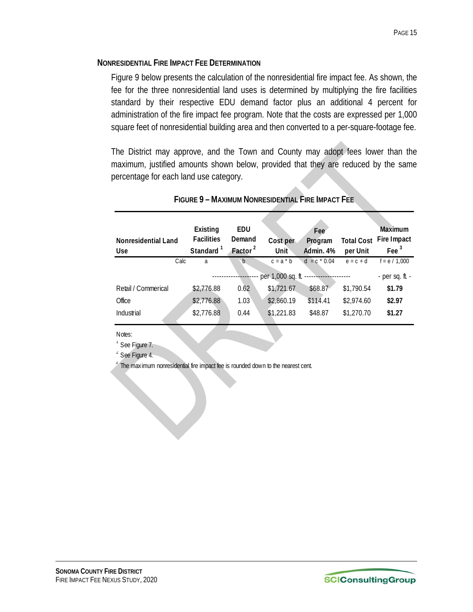#### **NONRESIDENTIAL FIRE IMPACT FEE DETERMINATION**

Figure 9 below presents the calculation of the nonresidential fire impact fee. As shown, the fee for the three nonresidential land uses is determined by multiplying the fire facilities standard by their respective EDU demand factor plus an additional 4 percent for administration of the fire impact fee program. Note that the costs are expressed per 1,000 square feet of nonresidential building area and then converted to a per-square-footage fee.

The District may approve, and the Town and County may adopt fees lower than the maximum, justified amounts shown below, provided that they are reduced by the same percentage for each land use category.

| Nonresidential Land<br>Use | <b>Existing</b><br><b>Facilities</b><br>Standard <sup>1</sup> | EDU<br>Demand<br>Factor <sup>2</sup> | Cost per<br><b>Unit</b> | Fee<br>Program<br>Admin. 4% | <b>Total Cost</b><br>per Unit | <b>Maximum</b><br>Fire Impact<br>Fee $3$ |
|----------------------------|---------------------------------------------------------------|--------------------------------------|-------------------------|-----------------------------|-------------------------------|------------------------------------------|
| Calc                       | a                                                             | $\mathsf{b}$                         | $c = a * b$             | $d = c * 0.04$              | $e = c + d$                   | $f = e / 1.000$                          |
|                            |                                                               |                                      | per 1,000 sq. ft.       |                             |                               | $-$ per sq. ft. $-$                      |
| Retail / Commerical        | \$2,776.88                                                    | 0.62                                 | \$1,721.67              | \$68.87                     | \$1,790.54                    | \$1.79                                   |
| Office                     | \$2,776.88                                                    | 1.03                                 | \$2,860.19              | \$114.41                    | \$2,974.60                    | \$2.97                                   |
| Industrial                 | \$2,776.88                                                    | 0.44                                 | \$1,221.83              | \$48.87                     | \$1,270.70                    | \$1.27                                   |

#### **FIGURE 9 – MAXIMUM NONRESIDENTIAL FIRE IMPACT FEE**

Notes:

<sup>1</sup> See Figure 7.

 $2$  See Figure 4.

The maximum nonresidential fire impact fee is rounded down to the nearest cent.

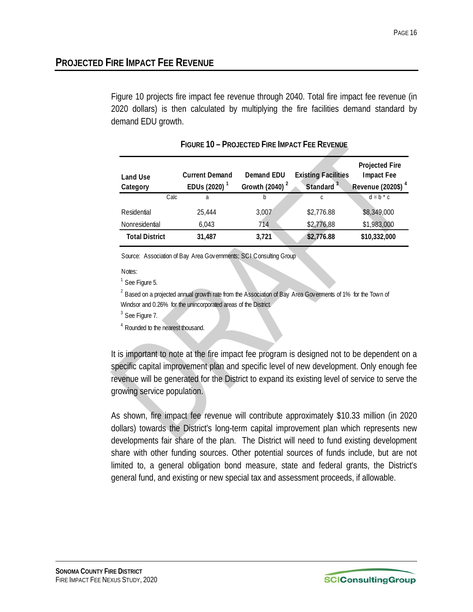# **PROJECTED FIRE IMPACT FEE REVENUE**

Figure 10 projects fire impact fee revenue through 2040. Total fire impact fee revenue (in 2020 dollars) is then calculated by multiplying the fire facilities demand standard by demand EDU growth.

| Land Use              | <b>Current Demand</b>    | Demand EDU        | <b>Existing Facilities</b> | <b>Projected Fire</b><br>Impact Fee |
|-----------------------|--------------------------|-------------------|----------------------------|-------------------------------------|
| Category              | EDUs (2020) <sup>1</sup> | Growth (2040) $2$ | Standard <sup>3</sup>      | Revenue (2020\$) <sup>4</sup>       |
| Calc                  | a                        | b                 | C                          | $d = b * c$                         |
| Residential           | 25.444                   | 3,007             | \$2,776.88                 | \$8,349,000                         |
| Nonresidential        | 6.043                    | 714               | \$2,776.88                 | \$1,983,000                         |
| <b>Total District</b> | 31,487                   | 3,721             | \$2,776.88                 | \$10,332,000                        |

**FIGURE 10 – PROJECTED FIRE IMPACT FEE REVENUE** 

Source: Association of Bay Area Governments; SCI Consulting Group

Notes:

<sup>1</sup> See Figure 5.

 $^2$  Based on a projected annual growth rate from the Association of Bay Area Goverments of 1% for the Town of Windsor and 0.26% for the unincorporated areas of the District.

 $3$  See Figure 7.

<sup>4</sup> Rounded to the nearest thousand.

It is important to note at the fire impact fee program is designed not to be dependent on a specific capital improvement plan and specific level of new development. Only enough fee revenue will be generated for the District to expand its existing level of service to serve the growing service population.

As shown, fire impact fee revenue will contribute approximately \$10.33 million (in 2020 dollars) towards the District's long-term capital improvement plan which represents new developments fair share of the plan. The District will need to fund existing development share with other funding sources. Other potential sources of funds include, but are not limited to, a general obligation bond measure, state and federal grants, the District's general fund, and existing or new special tax and assessment proceeds, if allowable.

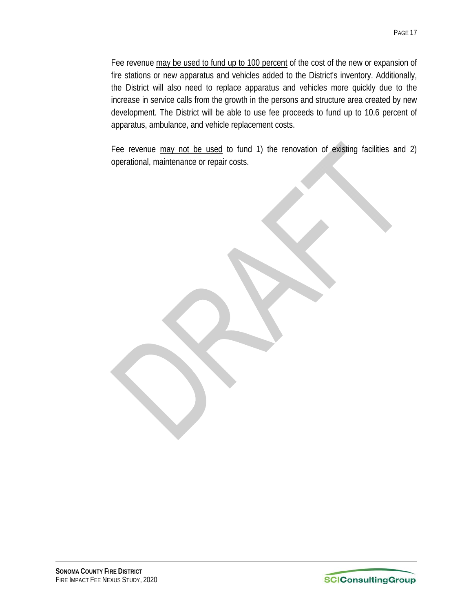Fee revenue may be used to fund up to 100 percent of the cost of the new or expansion of fire stations or new apparatus and vehicles added to the District's inventory. Additionally, the District will also need to replace apparatus and vehicles more quickly due to the increase in service calls from the growth in the persons and structure area created by new development. The District will be able to use fee proceeds to fund up to 10.6 percent of apparatus, ambulance, and vehicle replacement costs.

Fee revenue may not be used to fund 1) the renovation of existing facilities and 2) operational, maintenance or repair costs.



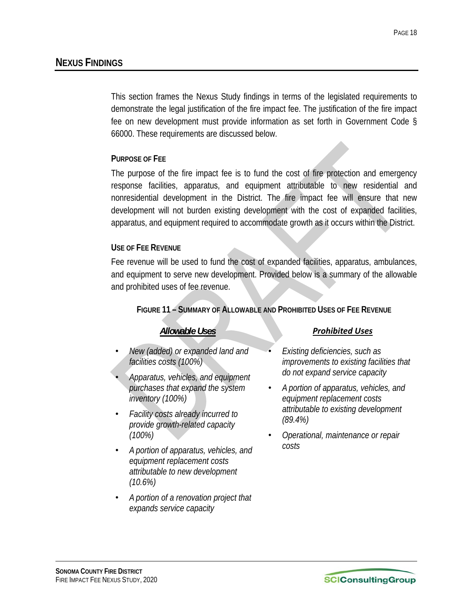# **NEXUS FINDINGS**

This section frames the Nexus Study findings in terms of the legislated requirements to demonstrate the legal justification of the fire impact fee. The justification of the fire impact fee on new development must provide information as set forth in Government Code § 66000. These requirements are discussed below.

#### **PURPOSE OF FEE**

The purpose of the fire impact fee is to fund the cost of fire protection and emergency response facilities, apparatus, and equipment attributable to new residential and nonresidential development in the District. The fire impact fee will ensure that new development will not burden existing development with the cost of expanded facilities, apparatus, and equipment required to accommodate growth as it occurs within the District.

#### **USE OF FEE REVENUE**

Fee revenue will be used to fund the cost of expanded facilities, apparatus, ambulances, and equipment to serve new development. Provided below is a summary of the allowable and prohibited uses of fee revenue.

#### **FIGURE 11 – SUMMARY OF ALLOWABLE AND PROHIBITED USES OF FEE REVENUE**

- *New (added) or expanded land and facilities costs (100%)*
- *Apparatus, vehicles, and equipment purchases that expand the system inventory (100%)*
- *Facility costs already incurred to provide growth-related capacity (100%)*
- *A portion of apparatus, vehicles, and equipment replacement costs attributable to new development (10.6%)*
- *A portion of a renovation project that expands service capacity*

#### *Allowable Uses Prohibited Uses*

- *Existing deficiencies, such as improvements to existing facilities that do not expand service capacity*
- *A portion of apparatus, vehicles, and equipment replacement costs attributable to existing development (89.4%)*
- *Operational, maintenance or repair costs*

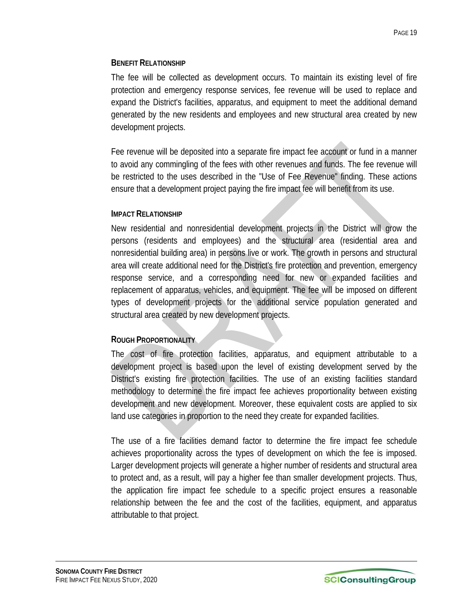#### **BENEFIT RELATIONSHIP**

The fee will be collected as development occurs. To maintain its existing level of fire protection and emergency response services, fee revenue will be used to replace and expand the District's facilities, apparatus, and equipment to meet the additional demand generated by the new residents and employees and new structural area created by new development projects.

Fee revenue will be deposited into a separate fire impact fee account or fund in a manner to avoid any commingling of the fees with other revenues and funds. The fee revenue will be restricted to the uses described in the "Use of Fee Revenue" finding. These actions ensure that a development project paying the fire impact fee will benefit from its use.

#### **IMPACT RELATIONSHIP**

New residential and nonresidential development projects in the District will grow the persons (residents and employees) and the structural area (residential area and nonresidential building area) in persons live or work. The growth in persons and structural area will create additional need for the District's fire protection and prevention, emergency response service, and a corresponding need for new or expanded facilities and replacement of apparatus, vehicles, and equipment. The fee will be imposed on different types of development projects for the additional service population generated and structural area created by new development projects.

#### **ROUGH PROPORTIONALITY**

The cost of fire protection facilities, apparatus, and equipment attributable to a development project is based upon the level of existing development served by the District's existing fire protection facilities. The use of an existing facilities standard methodology to determine the fire impact fee achieves proportionality between existing development and new development. Moreover, these equivalent costs are applied to six land use categories in proportion to the need they create for expanded facilities.

The use of a fire facilities demand factor to determine the fire impact fee schedule achieves proportionality across the types of development on which the fee is imposed. Larger development projects will generate a higher number of residents and structural area to protect and, as a result, will pay a higher fee than smaller development projects. Thus, the application fire impact fee schedule to a specific project ensures a reasonable relationship between the fee and the cost of the facilities, equipment, and apparatus attributable to that project.

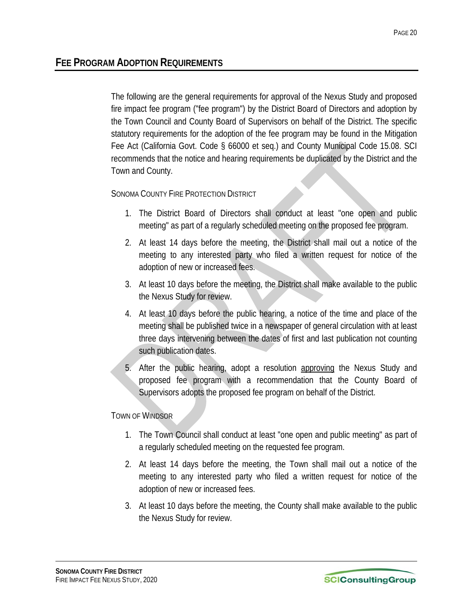# **FEE PROGRAM ADOPTION REQUIREMENTS**

The following are the general requirements for approval of the Nexus Study and proposed fire impact fee program ("fee program") by the District Board of Directors and adoption by the Town Council and County Board of Supervisors on behalf of the District. The specific statutory requirements for the adoption of the fee program may be found in the Mitigation Fee Act (California Govt. Code § 66000 et seq.) and County Municipal Code 15.08. SCI recommends that the notice and hearing requirements be duplicated by the District and the Town and County.

SONOMA COUNTY FIRE PROTECTION DISTRICT

- 1. The District Board of Directors shall conduct at least "one open and public meeting" as part of a regularly scheduled meeting on the proposed fee program.
- 2. At least 14 days before the meeting, the District shall mail out a notice of the meeting to any interested party who filed a written request for notice of the adoption of new or increased fees.
- 3. At least 10 days before the meeting, the District shall make available to the public the Nexus Study for review.
- 4. At least 10 days before the public hearing, a notice of the time and place of the meeting shall be published twice in a newspaper of general circulation with at least three days intervening between the dates of first and last publication not counting such publication dates.
- 5. After the public hearing, adopt a resolution approving the Nexus Study and proposed fee program with a recommendation that the County Board of Supervisors adopts the proposed fee program on behalf of the District.

TOWN OF WINDSOR

- 1. The Town Council shall conduct at least "one open and public meeting" as part of a regularly scheduled meeting on the requested fee program.
- 2. At least 14 days before the meeting, the Town shall mail out a notice of the meeting to any interested party who filed a written request for notice of the adoption of new or increased fees.
- 3. At least 10 days before the meeting, the County shall make available to the public the Nexus Study for review.

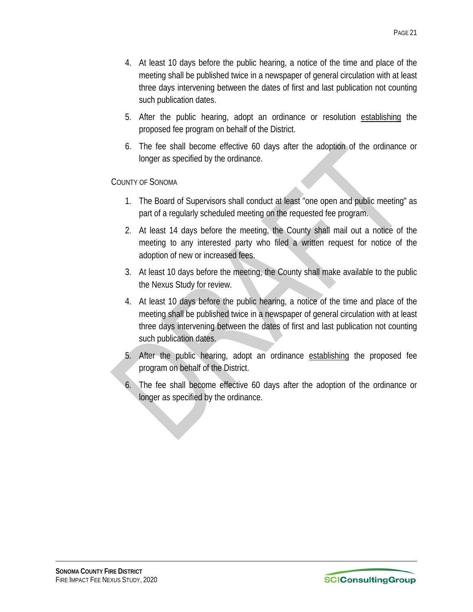- 4. At least 10 days before the public hearing, a notice of the time and place of the meeting shall be published twice in a newspaper of general circulation with at least three days intervening between the dates of first and last publication not counting such publication dates.
- 5. After the public hearing, adopt an ordinance or resolution establishing the proposed fee program on behalf of the District.
- 6. The fee shall become effective 60 days after the adoption of the ordinance or longer as specified by the ordinance.

#### COUNTY OF SONOMA

- 1. The Board of Supervisors shall conduct at least "one open and public meeting" as part of a regularly scheduled meeting on the requested fee program.
- 2. At least 14 days before the meeting, the County shall mail out a notice of the meeting to any interested party who filed a written request for notice of the adoption of new or increased fees.
- 3. At least 10 days before the meeting, the County shall make available to the public the Nexus Study for review.
- 4. At least 10 days before the public hearing, a notice of the time and place of the meeting shall be published twice in a newspaper of general circulation with at least three days intervening between the dates of first and last publication not counting such publication dates.
- 5. After the public hearing, adopt an ordinance establishing the proposed fee program on behalf of the District.
- 6. The fee shall become effective 60 days after the adoption of the ordinance or longer as specified by the ordinance.

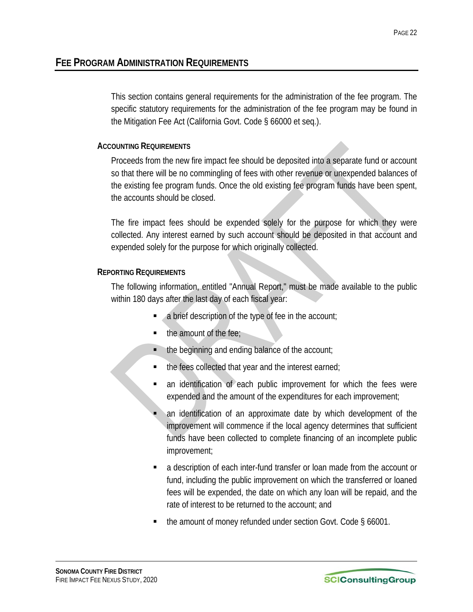# **FEE PROGRAM ADMINISTRATION REQUIREMENTS**

This section contains general requirements for the administration of the fee program. The specific statutory requirements for the administration of the fee program may be found in the Mitigation Fee Act (California Govt. Code § 66000 et seq.).

#### **ACCOUNTING REQUIREMENTS**

Proceeds from the new fire impact fee should be deposited into a separate fund or account so that there will be no commingling of fees with other revenue or unexpended balances of the existing fee program funds. Once the old existing fee program funds have been spent, the accounts should be closed.

The fire impact fees should be expended solely for the purpose for which they were collected. Any interest earned by such account should be deposited in that account and expended solely for the purpose for which originally collected.

#### **REPORTING REQUIREMENTS**

The following information, entitled "Annual Report," must be made available to the public within 180 days after the last day of each fiscal year:

- $\blacksquare$  a brief description of the type of fee in the account;
- $\blacksquare$  the amount of the fee;
- the beginning and ending balance of the account;
- the fees collected that year and the interest earned;
- an identification of each public improvement for which the fees were expended and the amount of the expenditures for each improvement;
- an identification of an approximate date by which development of the improvement will commence if the local agency determines that sufficient funds have been collected to complete financing of an incomplete public improvement;
- a description of each inter-fund transfer or loan made from the account or fund, including the public improvement on which the transferred or loaned fees will be expended, the date on which any loan will be repaid, and the rate of interest to be returned to the account; and
- the amount of money refunded under section Govt. Code § 66001.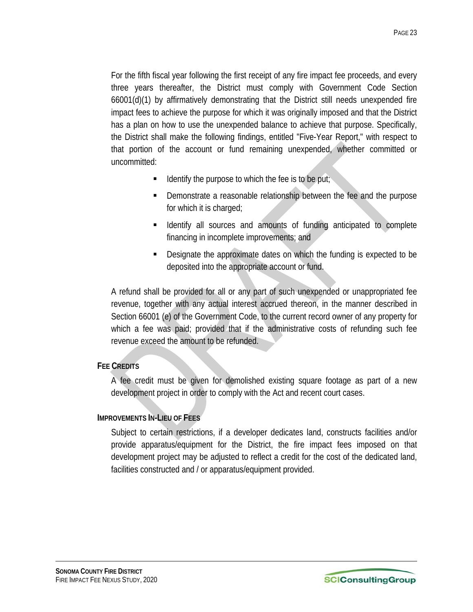For the fifth fiscal year following the first receipt of any fire impact fee proceeds, and every three years thereafter, the District must comply with Government Code Section 66001(d)(1) by affirmatively demonstrating that the District still needs unexpended fire impact fees to achieve the purpose for which it was originally imposed and that the District has a plan on how to use the unexpended balance to achieve that purpose. Specifically, the District shall make the following findings, entitled "Five-Year Report," with respect to that portion of the account or fund remaining unexpended, whether committed or uncommitted:

- Identify the purpose to which the fee is to be put;
- **Demonstrate a reasonable relationship between the fee and the purpose** for which it is charged;
- **IDENTIFY ALL SOUTCES and amounts of funding anticipated to complete** financing in incomplete improvements; and
- Designate the approximate dates on which the funding is expected to be deposited into the appropriate account or fund.

A refund shall be provided for all or any part of such unexpended or unappropriated fee revenue, together with any actual interest accrued thereon, in the manner described in Section 66001 (e) of the Government Code, to the current record owner of any property for which a fee was paid; provided that if the administrative costs of refunding such fee revenue exceed the amount to be refunded.

#### **FEE CREDITS**

A fee credit must be given for demolished existing square footage as part of a new development project in order to comply with the Act and recent court cases.

#### **IMPROVEMENTS IN-LIEU OF FEES**

Subject to certain restrictions, if a developer dedicates land, constructs facilities and/or provide apparatus/equipment for the District, the fire impact fees imposed on that development project may be adjusted to reflect a credit for the cost of the dedicated land, facilities constructed and / or apparatus/equipment provided.

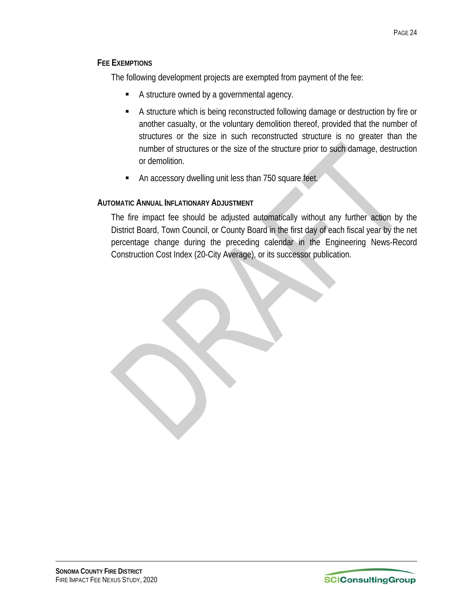#### **FEE EXEMPTIONS**

The following development projects are exempted from payment of the fee:

- A structure owned by a governmental agency.
- A structure which is being reconstructed following damage or destruction by fire or another casualty, or the voluntary demolition thereof, provided that the number of structures or the size in such reconstructed structure is no greater than the number of structures or the size of the structure prior to such damage, destruction or demolition.
- An accessory dwelling unit less than 750 square feet.

# **AUTOMATIC ANNUAL INFLATIONARY ADJUSTMENT**

The fire impact fee should be adjusted automatically without any further action by the District Board, Town Council, or County Board in the first day of each fiscal year by the net percentage change during the preceding calendar in the Engineering News-Record Construction Cost Index (20-City Average), or its successor publication.



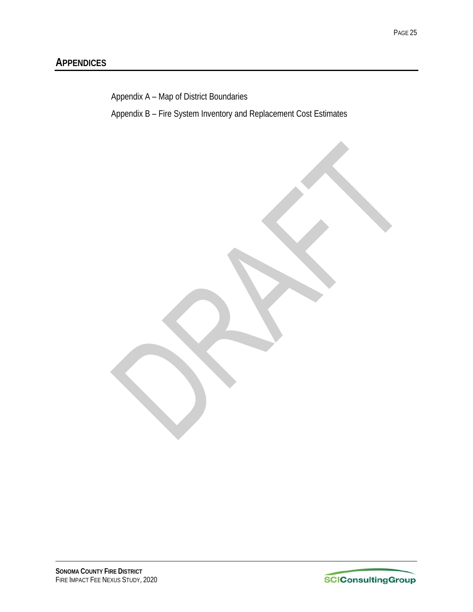## **APPENDICES**

Appendix A – Map of District Boundaries

Appendix B – Fire System Inventory and Replacement Cost Estimates

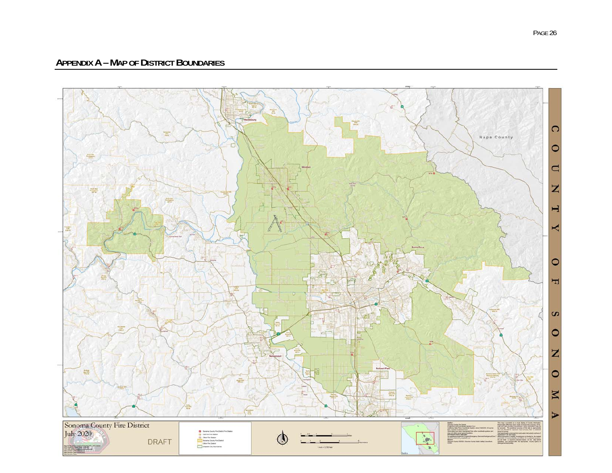#### **APPENDIX A – MAP OF DISTRICT BOUNDARIES**

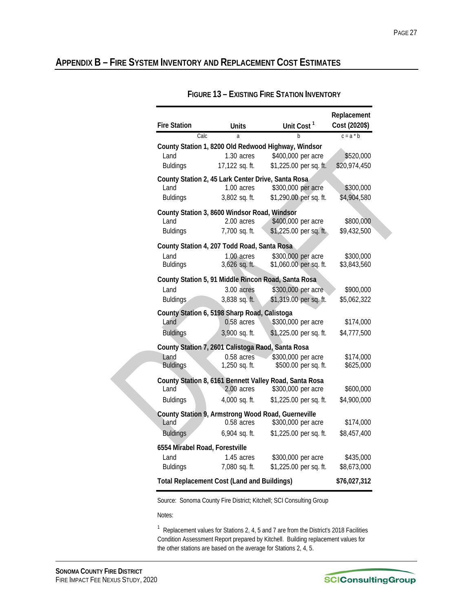### **APPENDIX B – FIRE SYSTEM INVENTORY AND REPLACEMENT COST ESTIMATES**

| <b>Fire Station</b>                                    | <b>Units</b>    | Unit Cost <sup>1</sup>                       | Replacement<br>Cost (2020\$) |  |  |
|--------------------------------------------------------|-----------------|----------------------------------------------|------------------------------|--|--|
| Calc                                                   | a               | h                                            | $c = a * b$                  |  |  |
| County Station 1, 8200 Old Redwood Highway, Windsor    |                 |                                              |                              |  |  |
| Land                                                   | 1.30 acres      | \$400,000 per acre                           | \$520,000                    |  |  |
| <b>Buldings</b>                                        | 17,122 sq. ft.  | \$1,225.00 per sq. ft.                       | \$20,974,450                 |  |  |
| County Station 2, 45 Lark Center Drive, Santa Rosa     |                 |                                              |                              |  |  |
| Land                                                   | 1.00 acres      | \$300,000 per acre                           | \$300,000                    |  |  |
| <b>Buldings</b>                                        | 3,802 sq. ft.   | \$1,290.00 per sq. ft.                       | \$4,904,580                  |  |  |
| County Station 3, 8600 Windsor Road, Windsor           |                 |                                              |                              |  |  |
| Land                                                   | 2.00 acres      | \$400,000 per acre                           | \$800,000                    |  |  |
| <b>Buldings</b>                                        | 7,700 sq. ft.   | \$1,225.00 per sq. ft.                       | \$9,432,500                  |  |  |
| County Station 4, 207 Todd Road, Santa Rosa            |                 |                                              |                              |  |  |
| Land                                                   | 1.00 acres      | \$300,000 per acre                           | \$300,000                    |  |  |
| <b>Buldings</b>                                        | $3,626$ sq. ft. | \$1,060.00 per sq. ft.                       | \$3,843,560                  |  |  |
|                                                        |                 |                                              |                              |  |  |
| County Station 5, 91 Middle Rincon Road, Santa Rosa    |                 |                                              |                              |  |  |
| Land                                                   | 3.00 acres      | \$300,000 per acre                           | \$900,000                    |  |  |
| <b>Buldings</b>                                        | 3,838 sq. ft.   | \$1,319.00 per sq. ft.                       | \$5,062,322                  |  |  |
| County Station 6, 5198 Sharp Road, Calistoga           |                 |                                              |                              |  |  |
| Land                                                   | 0.58 acres      | \$300,000 per acre                           | \$174,000                    |  |  |
| <b>Buldings</b>                                        | 3,900 sq. ft.   | \$1,225.00 per sq. ft.                       | \$4,777,500                  |  |  |
| County Station 7, 2601 Calistoga Raod, Santa Rosa      |                 |                                              |                              |  |  |
| Land                                                   | 0.58 acres      | \$300,000 per acre                           | \$174,000                    |  |  |
| <b>Buldings</b>                                        | 1,250 sq. ft.   | \$500.00 per sq. ft.                         | \$625,000                    |  |  |
| County Station 8, 6161 Bennett Valley Road, Santa Rosa |                 |                                              |                              |  |  |
| Land                                                   | 2.00 acres      | \$300,000 per acre                           | \$600,000                    |  |  |
| <b>Buldings</b>                                        | 4,000 sq. ft.   | \$1,225.00 per sq. ft.                       | \$4,900,000                  |  |  |
| County Station 9, Armstrong Wood Road, Guerneville     |                 |                                              |                              |  |  |
| Land                                                   | 0.58 acres      | \$300,000 per acre                           | \$174,000                    |  |  |
| <b>Buldings</b>                                        | $6,904$ sq. ft. | \$1,225.00 per sq. ft.                       | \$8,457,400                  |  |  |
|                                                        |                 |                                              |                              |  |  |
| 6554 Mirabel Road, Forestville<br>Land                 | 1.45 acres      |                                              |                              |  |  |
| <b>Buldings</b>                                        | 7,080 sq. ft.   | \$300,000 per acre<br>\$1,225.00 per sq. ft. | \$435,000<br>\$8,673,000     |  |  |
|                                                        |                 |                                              |                              |  |  |
| <b>Total Replacement Cost (Land and Buildings)</b>     | \$76,027,312    |                                              |                              |  |  |

**FIGURE 13 – EXISTING FIRE STATION INVENTORY**

Source: Sonoma County Fire District; Kitchell; SCI Consulting Group

Notes:

<sup>1</sup> Replacement values for Stations 2, 4, 5 and 7 are from the District's 2018 Facilities Condition Assessment Report prepared by Kitchell. Building replacement values for the other stations are based on the average for Stations 2, 4, 5.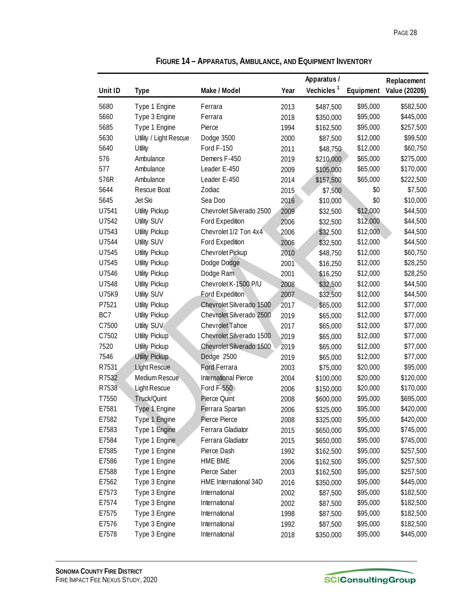|         |                        |                          |      | Apparatus /            |           | Replacement    |
|---------|------------------------|--------------------------|------|------------------------|-----------|----------------|
| Unit ID | <b>Type</b>            | Make / Model             | Year | Vechicles <sup>1</sup> | Equipment | Value (2020\$) |
| 5680    | Type 1 Engine          | Ferrara                  | 2013 | \$487,500              | \$95,000  | \$582,500      |
| 5660    | Type 3 Engine          | Ferrara                  | 2018 | \$350,000              | \$95,000  | \$445,000      |
| 5685    | Type 1 Engine          | Pierce                   | 1994 | \$162,500              | \$95,000  | \$257,500      |
| 5630    | Utility / Light Rescue | Dodge 3500               | 2000 | \$87,500               | \$12,000  | \$99,500       |
| 5640    | Utility                | Ford F-150               | 2011 | \$48,750               | \$12,000  | \$60,750       |
| 576     | Ambulance              | Demers F-450             | 2019 | \$210,000              | \$65,000  | \$275,000      |
| 577     | Ambulance              | Leader E-450             | 2009 | \$105,000              | \$65,000  | \$170,000      |
| 576R    | Ambulance              | Leader E-450             | 2014 | \$157,500              | \$65,000  | \$222,500      |
| 5644    | Rescue Boat            | Zodiac                   | 2015 | \$7,500                | \$0       | \$7,500        |
| 5645    | Jet Ski                | Sea Doo                  | 2016 | \$10,000               | \$0       | \$10,000       |
| U7541   | <b>Utility Pickup</b>  | Chevrolet Silverado 2500 | 2009 | \$32,500               | \$12,000  | \$44,500       |
| U7542   | <b>Utility SUV</b>     | Ford Expedition          | 2006 | \$32,500               | \$12,000  | \$44,500       |
| U7543   | <b>Utility Pickup</b>  | Chevrolet 1/2 Ton 4x4    | 2006 | \$32,500               | \$12,000  | \$44,500       |
| U7544   | <b>Utility SUV</b>     | Ford Expedition          | 2006 | \$32,500               | \$12,000  | \$44,500       |
| U7545   | <b>Utility Pickup</b>  | Chevrolet Pickup         | 2010 | \$48,750               | \$12,000  | \$60,750       |
| U7545   | <b>Utility Pickup</b>  | Dodge Dodge              | 2001 | \$16,250               | \$12,000  | \$28,250       |
| U7546   | <b>Utility Pickup</b>  | Dodge Ram                | 2001 | \$16,250               | \$12,000  | \$28,250       |
| U7548   | <b>Utility Pickup</b>  | Chevrolet K-1500 P/U     | 2008 | \$32,500               | \$12,000  | \$44,500       |
| U75K9   | <b>Utility SUV</b>     | <b>Ford Expedition</b>   | 2007 | \$32,500               | \$12,000  | \$44,500       |
| P7521   | <b>Utility Pickup</b>  | Chevrolet Silverado 1500 | 2017 | \$65,000               | \$12,000  | \$77,000       |
| BC7     | <b>Utility Pickup</b>  | Chevrolet Silverado 2500 | 2019 | \$65,000               | \$12,000  | \$77,000       |
| C7500   | <b>Utility SUV</b>     | Chevrolet Tahoe          | 2017 | \$65,000               | \$12,000  | \$77,000       |
| C7502   | <b>Utility Pickup</b>  | Chevrolet Silverado 1500 | 2019 | \$65,000               | \$12,000  | \$77,000       |
| 7520    | <b>Utility Pickup</b>  | Chevrolet Silverado 1500 | 2019 | \$65,000               | \$12,000  | \$77,000       |
| 7546    | <b>Utility Pickup</b>  | Dodge 2500               | 2019 | \$65,000               | \$12,000  | \$77,000       |
| R7531   | <b>Light Rescue</b>    | Ford Ferrara             | 2003 | \$75,000               | \$20,000  | \$95,000       |
| R7532   | Medium Rescue          | International Pierce     | 2004 | \$100,000              | \$20,000  | \$120,000      |
| R7538   | <b>Light Rescue</b>    | Ford F-550               | 2006 | \$150,000              | \$20,000  | \$170,000      |
| T7550   | Truck/Quint            | Pierce Quint             | 2008 | \$600,000              | \$95,000  | \$695,000      |
| E7581   | Type 1 Engine          | Ferrara Spartan          | 2006 | \$325,000              | \$95,000  | \$420,000      |
| E7582   | Type 1 Engine          | Pierce Pierce            | 2008 | \$325,000              | \$95,000  | \$420,000      |
| E7583   | Type 1 Engine          | Ferrara Gladiator        | 2015 | \$650,000              | \$95,000  | \$745,000      |
| E7584   | Type 1 Engine          | Ferrara Gladiator        | 2015 | \$650,000              | \$95,000  | \$745,000      |
| E7585   | Type 1 Engine          | Pierce Dash              | 1992 | \$162,500              | \$95,000  | \$257,500      |
| E7586   | Type 1 Engine          | HME BME                  | 2006 | \$162,500              | \$95,000  | \$257,500      |
| E7588   | Type 1 Engine          | Pierce Saber             | 2003 | \$162,500              | \$95,000  | \$257,500      |
| E7562   | Type 3 Engine          | HME International 34D    | 2016 | \$350,000              | \$95,000  | \$445,000      |
| E7573   | Type 3 Engine          | International            | 2002 | \$87,500               | \$95,000  | \$182,500      |
| E7574   | Type 3 Engine          | International            | 2002 | \$87,500               | \$95,000  | \$182,500      |
| E7575   | Type 3 Engine          | International            | 1998 | \$87,500               | \$95,000  | \$182,500      |
| E7576   | Type 3 Engine          | International            | 1992 | \$87,500               | \$95,000  | \$182,500      |
| E7578   | Type 3 Engine          | International            | 2018 | \$350,000              | \$95,000  | \$445,000      |

| FIGURE 14 - APPARATUS, AMBULANCE, AND EQUIPMENT INVENTORY |  |  |  |
|-----------------------------------------------------------|--|--|--|
|-----------------------------------------------------------|--|--|--|

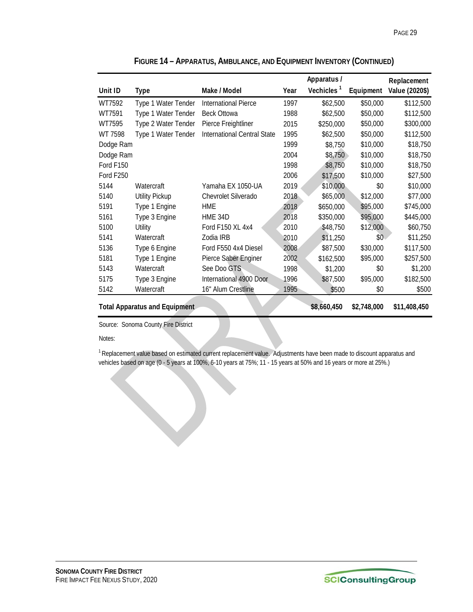|                                                     |                     |                             |      | Apparatus /            |                  | Replacement    |
|-----------------------------------------------------|---------------------|-----------------------------|------|------------------------|------------------|----------------|
| Unit ID                                             | <b>Type</b>         | Make / Model                | Year | Vechicles <sup>1</sup> | Equipment        | Value (2020\$) |
| WT7592                                              | Type 1 Water Tender | <b>International Pierce</b> | 1997 | \$62,500               | \$50,000         | \$112,500      |
| WT7591                                              | Type 1 Water Tender | <b>Beck Ottowa</b>          | 1988 | \$62,500               | \$50,000         | \$112,500      |
| WT7595                                              | Type 2 Water Tender | Pierce Freightliner         | 2015 | \$250,000              | \$50,000         | \$300,000      |
| WT 7598                                             | Type 1 Water Tender | International Central State | 1995 | \$62,500               | \$50,000         | \$112,500      |
| Dodge Ram                                           |                     |                             | 1999 | \$8,750                | \$10,000         | \$18,750       |
| Dodge Ram                                           |                     |                             | 2004 | \$8,750                | \$10,000         | \$18,750       |
| Ford F150                                           |                     |                             | 1998 | \$8,750                | \$10,000         | \$18,750       |
| Ford F250                                           |                     |                             | 2006 | \$17,500               | \$10,000         | \$27,500       |
| 5144                                                | Watercraft          | Yamaha EX 1050-UA           | 2019 | \$10,000               | \$0              | \$10,000       |
| 5140                                                | Utility Pickup      | Chevrolet Silverado         | 2018 | \$65,000               | \$12,000         | \$77,000       |
| 5191                                                | Type 1 Engine       | <b>HME</b>                  | 2018 | \$650,000              | \$95,000         | \$745,000      |
| 5161                                                | Type 3 Engine       | HME 34D                     | 2018 | \$350,000              | \$95,000         | \$445,000      |
| 5100                                                | Utility             | Ford F150 XL 4x4            | 2010 | \$48,750               | \$12,000         | \$60,750       |
| 5141                                                | Watercraft          | Zodia IRB                   | 2010 | \$11,250               | \$0 <sub>1</sub> | \$11,250       |
| 5136                                                | Type 6 Engine       | Ford F550 4x4 Diesel        | 2008 | \$87,500               | \$30,000         | \$117,500      |
| 5181                                                | Type 1 Engine       | Pierce Saber Enginer        | 2002 | \$162,500              | \$95,000         | \$257,500      |
| 5143                                                | Watercraft          | See Doo GTS                 | 1998 | \$1,200                | \$0              | \$1,200        |
| 5175                                                | Type 3 Engine       | International 4900 Door     | 1996 | \$87,500               | \$95,000         | \$182,500      |
| 5142                                                | Watercraft          | 16" Alum Crestline          | 1995 | \$500                  | \$0              | \$500          |
| <b>Total Apparatus and Equipment</b><br>\$8,660,450 |                     |                             |      |                        | \$2,748,000      | \$11,408,450   |

| FIGURE 14 - APPARATUS, AMBULANCE, AND EQUIPMENT INVENTORY (CONTINUED) |  |
|-----------------------------------------------------------------------|--|
|-----------------------------------------------------------------------|--|

Source: Sonoma County Fire District

Notes:

1 Replacement value based on estimated current replacement value. Adjustments have been made to discount apparatus and vehicles based on age (0 - 5 years at 100%, 6-10 years at 75%; 11 - 15 years at 50% and 16 years or more at 25%.)